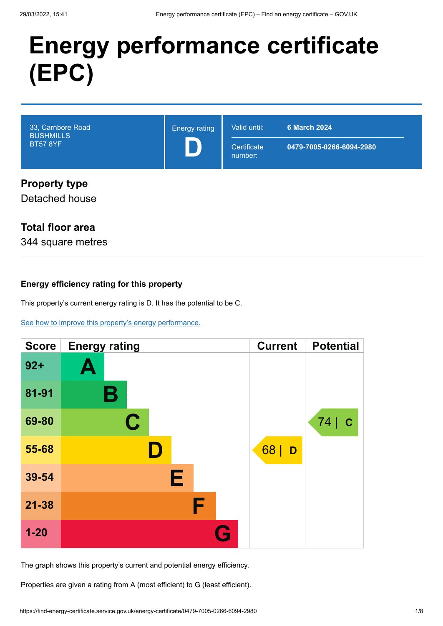# **Energy performance certificate (EPC)**

| 33, Carnbore Road<br><b>BUSHMILLS</b><br><b>BT57 8YF</b> | <b>Energy rating</b> | Valid until:<br>Certificate<br>number: | <b>6 March 2024</b><br>0479-7005-0266-6094-2980 |
|----------------------------------------------------------|----------------------|----------------------------------------|-------------------------------------------------|
| <b>Property type</b><br>Detached house                   |                      |                                        |                                                 |

# **Total floor area**

344 square metres

#### **Energy efficiency rating for this property**

This property's current energy rating is D. It has the potential to be C.

[See how to improve this property's energy performance.](#page-3-0)

| <b>Score</b> | <b>Energy rating</b> | <b>Current</b> | <b>Potential</b>  |
|--------------|----------------------|----------------|-------------------|
| $92 +$       | Ą                    |                |                   |
| 81-91        | В                    |                |                   |
| 69-80        | C                    |                | 74<br>$\mathbf C$ |
| 55-68        |                      | $68$   D       |                   |
| 39-54        | E                    |                |                   |
| $21 - 38$    | F                    |                |                   |
| $1 - 20$     |                      | G              |                   |

The graph shows this property's current and potential energy efficiency.

Properties are given a rating from A (most efficient) to G (least efficient).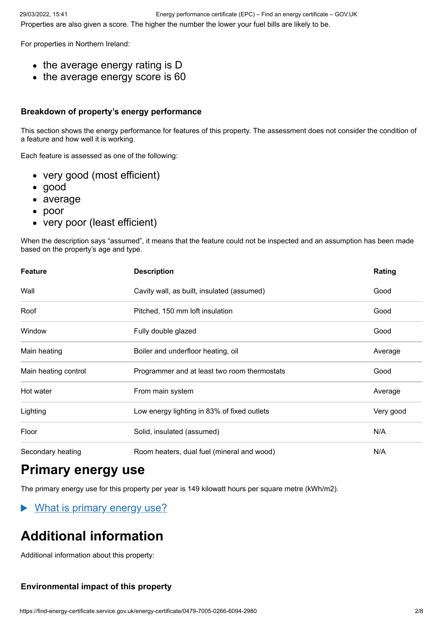For properties in Northern Ireland:

- $\bullet$  the average energy rating is D
- the average energy score is 60

#### **Breakdown of property's energy performance**

This section shows the energy performance for features of this property. The assessment does not consider the condition of a feature and how well it is working.

Each feature is assessed as one of the following:

- very good (most efficient)
- good
- average
- poor
- very poor (least efficient)

When the description says "assumed", it means that the feature could not be inspected and an assumption has been made based on the property's age and type.

| <b>Feature</b>       | <b>Description</b>                           | Rating    |
|----------------------|----------------------------------------------|-----------|
| Wall                 | Cavity wall, as built, insulated (assumed)   | Good      |
| Roof                 | Pitched, 150 mm loft insulation              | Good      |
| Window               | Fully double glazed                          | Good      |
| Main heating         | Boiler and underfloor heating, oil           | Average   |
| Main heating control | Programmer and at least two room thermostats | Good      |
| Hot water            | From main system                             | Average   |
| Lighting             | Low energy lighting in 83% of fixed outlets  | Very good |
| Floor                | Solid, insulated (assumed)                   | N/A       |
| Secondary heating    | Room heaters, dual fuel (mineral and wood)   | N/A       |

# **Primary energy use**

The primary energy use for this property per year is 149 kilowatt hours per square metre (kWh/m2).

 $\blacktriangleright$ What is primary energy use?

# **Additional information**

Additional information about this property:

## **Environmental impact of this property**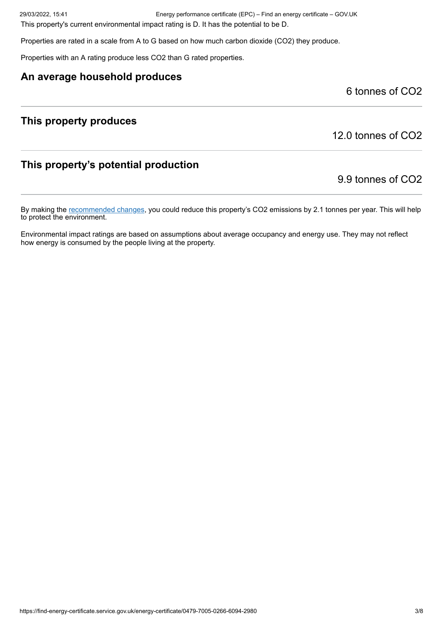29/03/2022, 15:41 Energy performance certificate (EPC) – Find an energy certificate – GOV.UK

This property's current environmental impact rating is D. It has the potential to be D.

Properties are rated in a scale from A to G based on how much carbon dioxide (CO2) they produce.

Properties with an A rating produce less CO2 than G rated properties.

#### **An average household produces**

6 tonnes of CO2

## **This property produces**

12.0 tonnes of CO2

# **This property's potential production**

9.9 tonnes of CO2

By making the [recommended changes](#page-3-0), you could reduce this property's CO2 emissions by 2.1 tonnes per year. This will help to protect the environment.

Environmental impact ratings are based on assumptions about average occupancy and energy use. They may not reflect how energy is consumed by the people living at the property.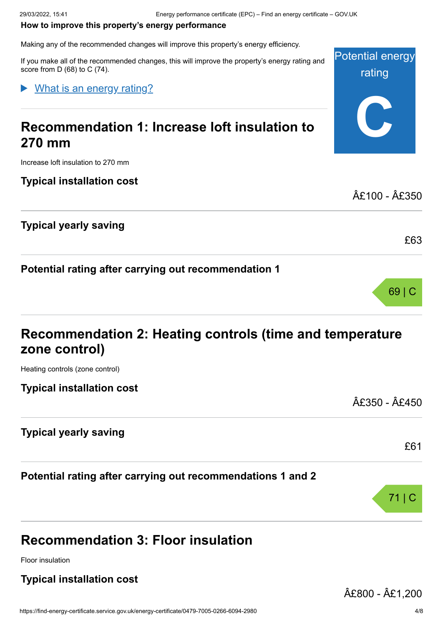#### <span id="page-3-0"></span>**How to improve this property's energy performance**

Making any of the recommended changes will improve this property's energy efficiency.

Potential energy rating **C** If you make all of the recommended changes, this will improve the property's energy rating and score from D (68) to C (74). **Recommendation 1: Increase loft insulation to 270 mm** What is an energy rating?

Increase loft insulation to 270 mm

**Typical installation cost**

**Typical yearly saving**

**Potential rating after carrying out recommendation 1**

| Recommendation 2: Heating controls (time and temperature |  |
|----------------------------------------------------------|--|
| zone control)                                            |  |

Heating controls (zone control)

**Typical installation cost**

**Typical yearly saving**

**Potential rating after carrying out recommendations 1 and 2**

# **Recommendation 3: Floor insulation**

Floor insulation

## **Typical installation cost**

£800 - £1,200

£100 - £350

£63

69 | C

£350 - £450

£61

71 | C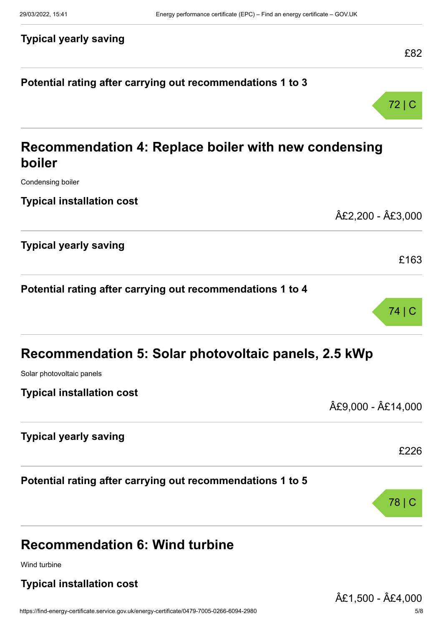# **Typical yearly saving**

## **Potential rating after carrying out recommendations 1 to 3**



74 | C

£82

# **Recommendation 4: Replace boiler with new condensing boiler**

Condensing boiler

**Typical installation cost**

|                              | £2,200 - £3,000 |
|------------------------------|-----------------|
| <b>Typical yearly saving</b> |                 |
|                              | £163            |

# **Potential rating after carrying out recommendations 1 to 4**

| Recommendation 5: Solar photovoltaic panels, 2.5 kWp       |                  |  |
|------------------------------------------------------------|------------------|--|
| Solar photovoltaic panels                                  |                  |  |
| <b>Typical installation cost</b>                           | £9,000 - £14,000 |  |
| <b>Typical yearly saving</b>                               | £226             |  |
| Potential rating after carrying out recommendations 1 to 5 | 78   C           |  |
| <b>Recommendation 6: Wind turbine</b>                      |                  |  |

Wind turbine

## **Typical installation cost**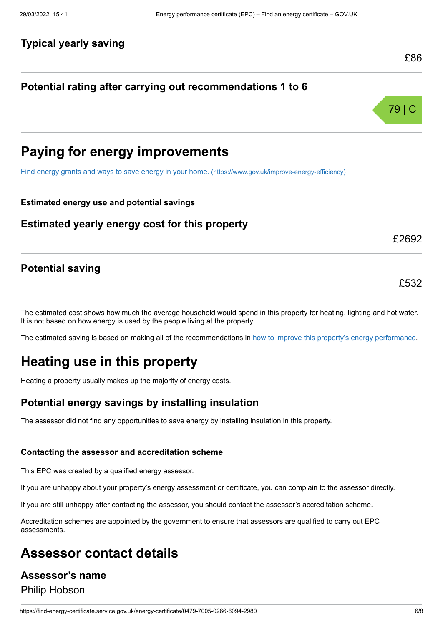#### **Typical yearly saving**

## **Potential rating after carrying out recommendations 1 to 6**



£86

# **Paying for energy improvements**

[Find energy grants and ways to save energy in your home.](https://www.gov.uk/improve-energy-efficiency) (https://www.gov.uk/improve-energy-efficiency)

#### **Estimated energy use and potential savings**

#### **Estimated yearly energy cost for this property**

#### **Potential saving**

The estimated cost shows how much the average household would spend in this property for heating, lighting and hot water. It is not based on how energy is used by the people living at the property.

The estimated saving is based on making all of the recommendations in [how to improve this property's energy performance.](#page-3-0)

# **Heating use in this property**

Heating a property usually makes up the majority of energy costs.

#### **Potential energy savings by installing insulation**

The assessor did not find any opportunities to save energy by installing insulation in this property.

#### **Contacting the assessor and accreditation scheme**

This EPC was created by a qualified energy assessor.

If you are unhappy about your property's energy assessment or certificate, you can complain to the assessor directly.

If you are still unhappy after contacting the assessor, you should contact the assessor's accreditation scheme.

Accreditation schemes are appointed by the government to ensure that assessors are qualified to carry out EPC assessments.

# **Assessor contact details**

# **Assessor's name** Philip Hobson

#### £532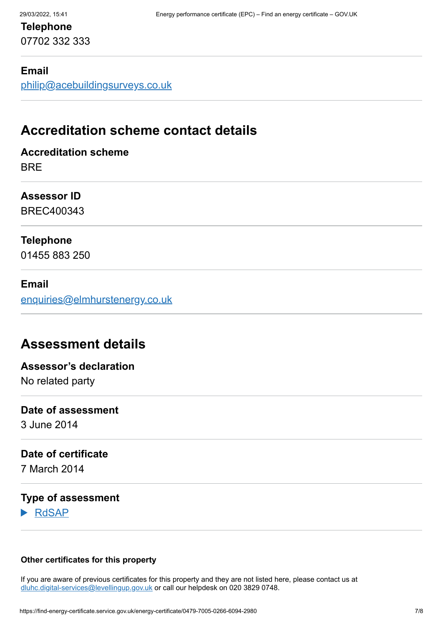# **Telephone** 07702 332 333

#### **Email**

[philip@acebuildingsurveys.co.uk](mailto:philip@acebuildingsurveys.co.uk)

# **Accreditation scheme contact details**

## **Accreditation scheme BRF**

**Assessor ID**

BREC400343

## **Telephone**

01455 883 250

#### **Email**

[enquiries@elmhurstenergy.co.uk](mailto:enquiries@elmhurstenergy.co.uk)

# **Assessment details**

# **Assessor's declaration** No related party

# **Date of assessment**

3 June 2014

#### **Date of certificate**

7 March 2014

### **Type of assessment**

RdSAP

#### **Other certificates for this property**

If you are aware of previous certificates for this property and they are not listed here, please contact us at [dluhc.digital-services@levellingup.gov.uk](mailto:dluhc.digital-services@levellingup.gov.uk?subject=EPB%20-) or call our helpdesk on 020 3829 0748.